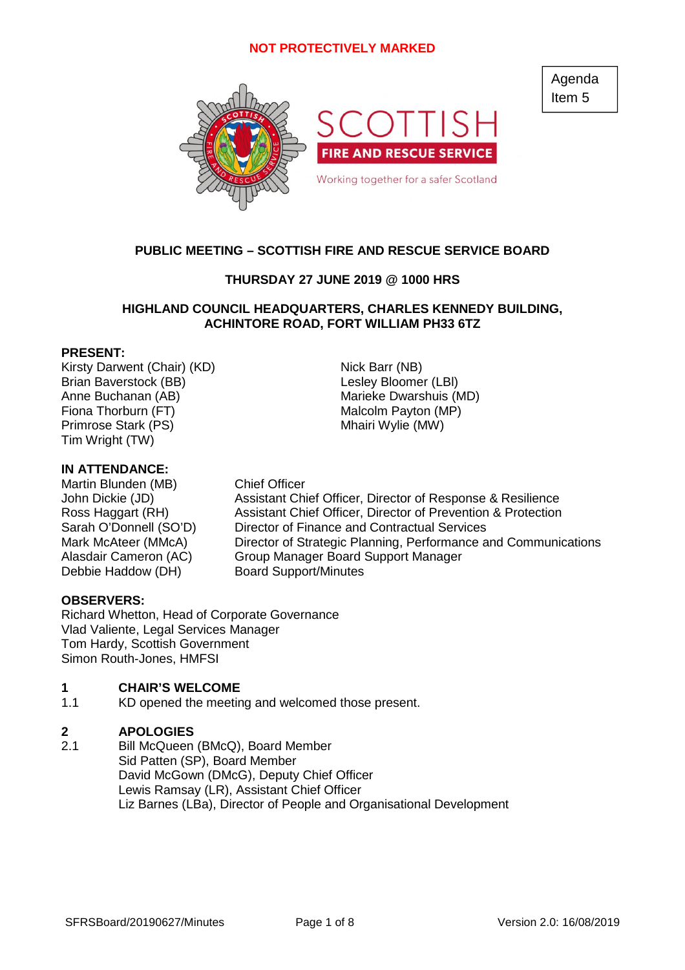

# **PUBLIC MEETING – SCOTTISH FIRE AND RESCUE SERVICE BOARD**

# **THURSDAY 27 JUNE 2019 @ 1000 HRS**

# **HIGHLAND COUNCIL HEADQUARTERS, CHARLES KENNEDY BUILDING, ACHINTORE ROAD, FORT WILLIAM PH33 6TZ**

## **PRESENT:**

Kirsty Darwent (Chair) (KD) Nick Barr (NB) Brian Baverstock (BB) and the control of the Lesley Bloomer (LBI) Anne Buchanan (AB) Marieke Dwarshuis (MD) Primrose Stark (PS) Mhairi Wylie (MW) Tim Wright (TW)

### **IN ATTENDANCE:**

Martin Blunden (MB) Chief Officer<br>John Dickie (JD) Assistant Chi Debbie Haddow (DH) Board Support/Minutes

Fiona Thorburn (FT) Malcolm Payton (MP)

Assistant Chief Officer, Director of Response & Resilience Ross Haggart (RH) Assistant Chief Officer, Director of Prevention & Protection Sarah O'Donnell (SO'D) Director of Finance and Contractual Services Mark McAteer (MMcA) Director of Strategic Planning, Performance and Communications Alasdair Cameron (AC) Group Manager Board Support Manager

# **OBSERVERS:**

Richard Whetton, Head of Corporate Governance Vlad Valiente, Legal Services Manager Tom Hardy, Scottish Government Simon Routh-Jones, HMFSI

#### **1 CHAIR'S WELCOME**

1.1 KD opened the meeting and welcomed those present.

#### **2 APOLOGIES**

2.1 Bill McQueen (BMcQ), Board Member Sid Patten (SP), Board Member David McGown (DMcG), Deputy Chief Officer Lewis Ramsay (LR), Assistant Chief Officer Liz Barnes (LBa), Director of People and Organisational Development Agenda Item 5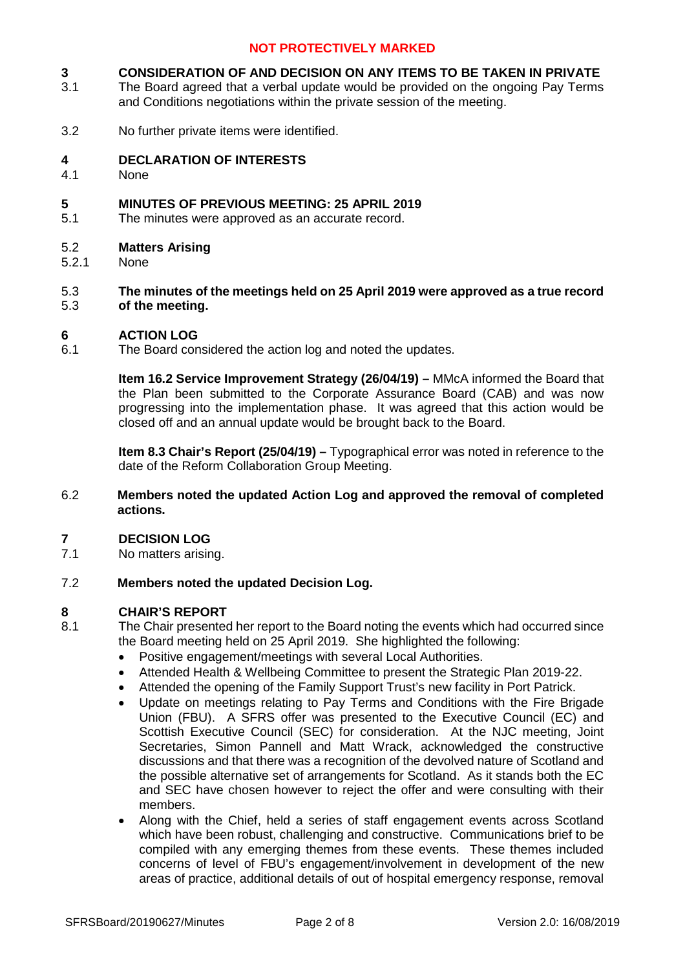#### **3 CONSIDERATION OF AND DECISION ON ANY ITEMS TO BE TAKEN IN PRIVATE**

- 3.1 The Board agreed that a verbal update would be provided on the ongoing Pay Terms and Conditions negotiations within the private session of the meeting.
- 3.2 No further private items were identified.

#### **4 DECLARATION OF INTERESTS**

4.1 None

#### **5 MINUTES OF PREVIOUS MEETING: 25 APRIL 2019**

5.1 The minutes were approved as an accurate record.

#### 5.2 **Matters Arising**

5.2.1 None

#### 5.3 5.3 **The minutes of the meetings held on 25 April 2019 were approved as a true record of the meeting.**

#### **6 ACTION LOG**

6.1 The Board considered the action log and noted the updates.

> **Item 16.2 Service Improvement Strategy (26/04/19) –** MMcA informed the Board that the Plan been submitted to the Corporate Assurance Board (CAB) and was now progressing into the implementation phase. It was agreed that this action would be closed off and an annual update would be brought back to the Board.

> **Item 8.3 Chair's Report (25/04/19) –** Typographical error was noted in reference to the date of the Reform Collaboration Group Meeting.

6.2 **Members noted the updated Action Log and approved the removal of completed actions.**

#### **7 DECISION LOG**

7.1 No matters arising.

#### 7.2 **Members noted the updated Decision Log.**

# **8 CHAIR'S REPORT**

- The Chair presented her report to the Board noting the events which had occurred since the Board meeting held on 25 April 2019. She highlighted the following:
	- Positive engagement/meetings with several Local Authorities.
	- Attended Health & Wellbeing Committee to present the Strategic Plan 2019-22.
	- Attended the opening of the Family Support Trust's new facility in Port Patrick.
	- Update on meetings relating to Pay Terms and Conditions with the Fire Brigade Union (FBU). A SFRS offer was presented to the Executive Council (EC) and Scottish Executive Council (SEC) for consideration. At the NJC meeting, Joint Secretaries, Simon Pannell and Matt Wrack, acknowledged the constructive discussions and that there was a recognition of the devolved nature of Scotland and the possible alternative set of arrangements for Scotland. As it stands both the EC and SEC have chosen however to reject the offer and were consulting with their members.
	- Along with the Chief, held a series of staff engagement events across Scotland which have been robust, challenging and constructive. Communications brief to be compiled with any emerging themes from these events. These themes included concerns of level of FBU's engagement/involvement in development of the new areas of practice, additional details of out of hospital emergency response, removal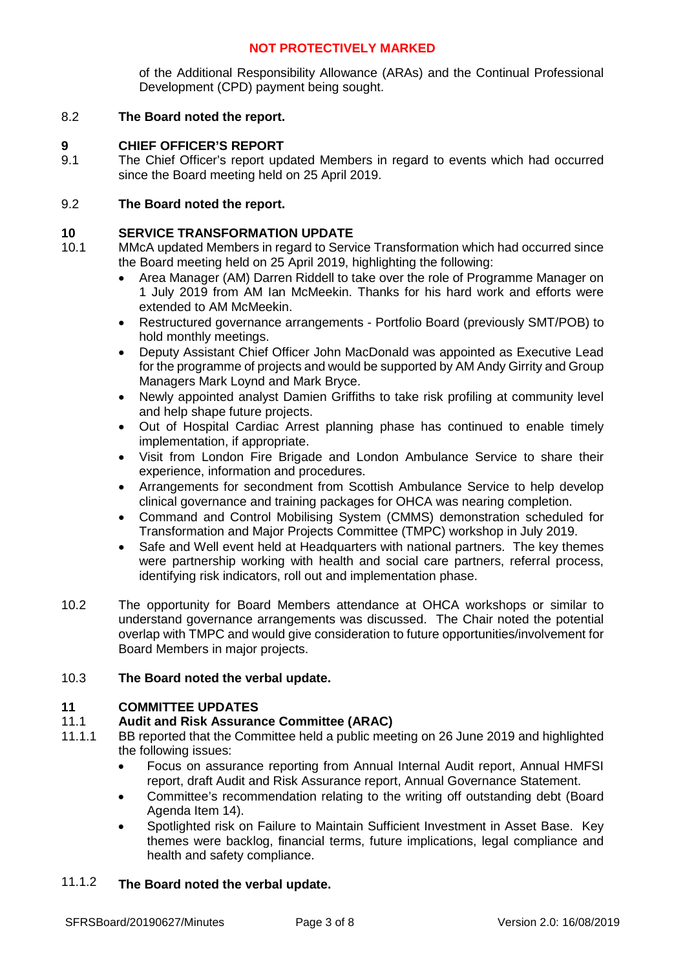of the Additional Responsibility Allowance (ARAs) and the Continual Professional Development (CPD) payment being sought.

#### 8.2 **The Board noted the report.**

### **9 CHIEF OFFICER'S REPORT**

9.1 The Chief Officer's report updated Members in regard to events which had occurred since the Board meeting held on 25 April 2019.

## 9.2 **The Board noted the report.**

### **10 SERVICE TRANSFORMATION UPDATE**

- 10.1 MMcA updated Members in regard to Service Transformation which had occurred since the Board meeting held on 25 April 2019, highlighting the following:
	- Area Manager (AM) Darren Riddell to take over the role of Programme Manager on 1 July 2019 from AM Ian McMeekin. Thanks for his hard work and efforts were extended to AM McMeekin.
	- Restructured governance arrangements Portfolio Board (previously SMT/POB) to hold monthly meetings.
	- Deputy Assistant Chief Officer John MacDonald was appointed as Executive Lead for the programme of projects and would be supported by AM Andy Girrity and Group Managers Mark Loynd and Mark Bryce.
	- Newly appointed analyst Damien Griffiths to take risk profiling at community level and help shape future projects.
	- Out of Hospital Cardiac Arrest planning phase has continued to enable timely implementation, if appropriate.
	- Visit from London Fire Brigade and London Ambulance Service to share their experience, information and procedures.
	- Arrangements for secondment from Scottish Ambulance Service to help develop clinical governance and training packages for OHCA was nearing completion.
	- Command and Control Mobilising System (CMMS) demonstration scheduled for Transformation and Major Projects Committee (TMPC) workshop in July 2019.
	- Safe and Well event held at Headquarters with national partners. The key themes were partnership working with health and social care partners, referral process, identifying risk indicators, roll out and implementation phase.
- 10.2 The opportunity for Board Members attendance at OHCA workshops or similar to understand governance arrangements was discussed. The Chair noted the potential overlap with TMPC and would give consideration to future opportunities/involvement for Board Members in major projects.

#### 10.3 **The Board noted the verbal update.**

### **11 COMMITTEE UPDATES**

#### 11.1 **Audit and Risk Assurance Committee (ARAC)**

- 11.1.1 BB reported that the Committee held a public meeting on 26 June 2019 and highlighted the following issues:
	- Focus on assurance reporting from Annual Internal Audit report, Annual HMFSI report, draft Audit and Risk Assurance report, Annual Governance Statement.
	- Committee's recommendation relating to the writing off outstanding debt (Board Agenda Item 14).
	- Spotlighted risk on Failure to Maintain Sufficient Investment in Asset Base. Key themes were backlog, financial terms, future implications, legal compliance and health and safety compliance.

#### 11.1.2 **The Board noted the verbal update.**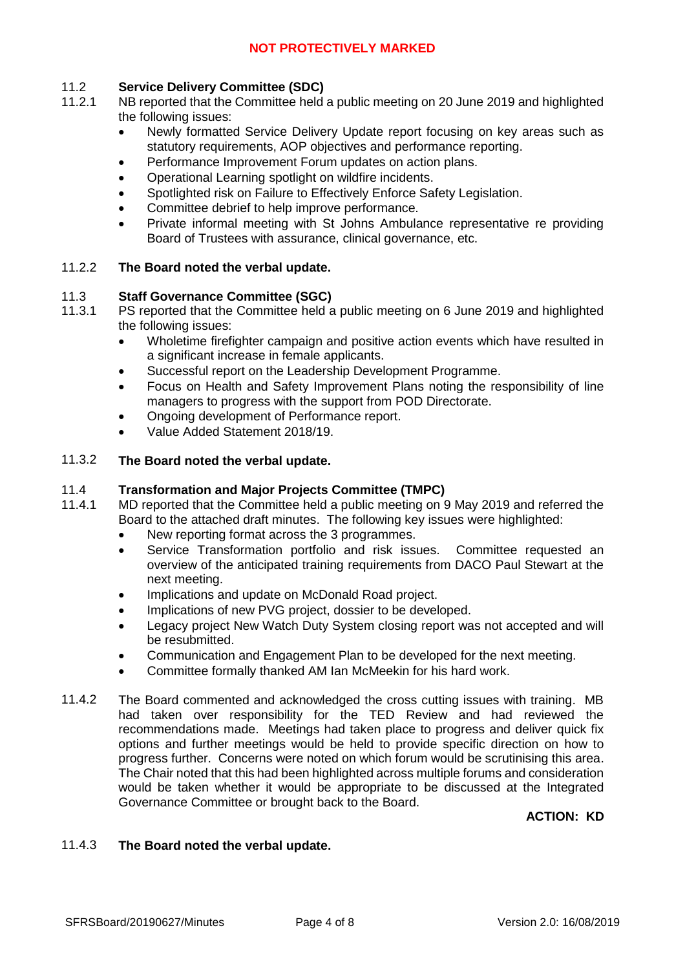#### 11.2 **Service Delivery Committee (SDC)**

- 11.2.1 NB reported that the Committee held a public meeting on 20 June 2019 and highlighted the following issues:
	- Newly formatted Service Delivery Update report focusing on key areas such as statutory requirements, AOP objectives and performance reporting.
	- Performance Improvement Forum updates on action plans.
	- Operational Learning spotlight on wildfire incidents.
	- Spotlighted risk on Failure to Effectively Enforce Safety Legislation.
	- Committee debrief to help improve performance.
	- Private informal meeting with St Johns Ambulance representative re providing Board of Trustees with assurance, clinical governance, etc.

#### 11.2.2 **The Board noted the verbal update.**

#### 11.3 **Staff Governance Committee (SGC)**

- 11.3.1 PS reported that the Committee held a public meeting on 6 June 2019 and highlighted the following issues:
	- Wholetime firefighter campaign and positive action events which have resulted in a significant increase in female applicants.
	- Successful report on the Leadership Development Programme.
	- Focus on Health and Safety Improvement Plans noting the responsibility of line managers to progress with the support from POD Directorate.
	- Ongoing development of Performance report.
	- Value Added Statement 2018/19.

#### 11.3.2 **The Board noted the verbal update.**

#### 11.4 **Transformation and Major Projects Committee (TMPC)**

- 11.4.1 MD reported that the Committee held a public meeting on 9 May 2019 and referred the Board to the attached draft minutes. The following key issues were highlighted:
	- New reporting format across the 3 programmes.
	- Service Transformation portfolio and risk issues. Committee requested an overview of the anticipated training requirements from DACO Paul Stewart at the next meeting.
	- Implications and update on McDonald Road project.
	- Implications of new PVG project, dossier to be developed.
	- Legacy project New Watch Duty System closing report was not accepted and will be resubmitted.
	- Communication and Engagement Plan to be developed for the next meeting.
	- Committee formally thanked AM Ian McMeekin for his hard work.
- 11.4.2 The Board commented and acknowledged the cross cutting issues with training. MB had taken over responsibility for the TED Review and had reviewed the recommendations made. Meetings had taken place to progress and deliver quick fix options and further meetings would be held to provide specific direction on how to progress further. Concerns were noted on which forum would be scrutinising this area. The Chair noted that this had been highlighted across multiple forums and consideration would be taken whether it would be appropriate to be discussed at the Integrated Governance Committee or brought back to the Board.

**ACTION: KD**

#### 11.4.3 **The Board noted the verbal update.**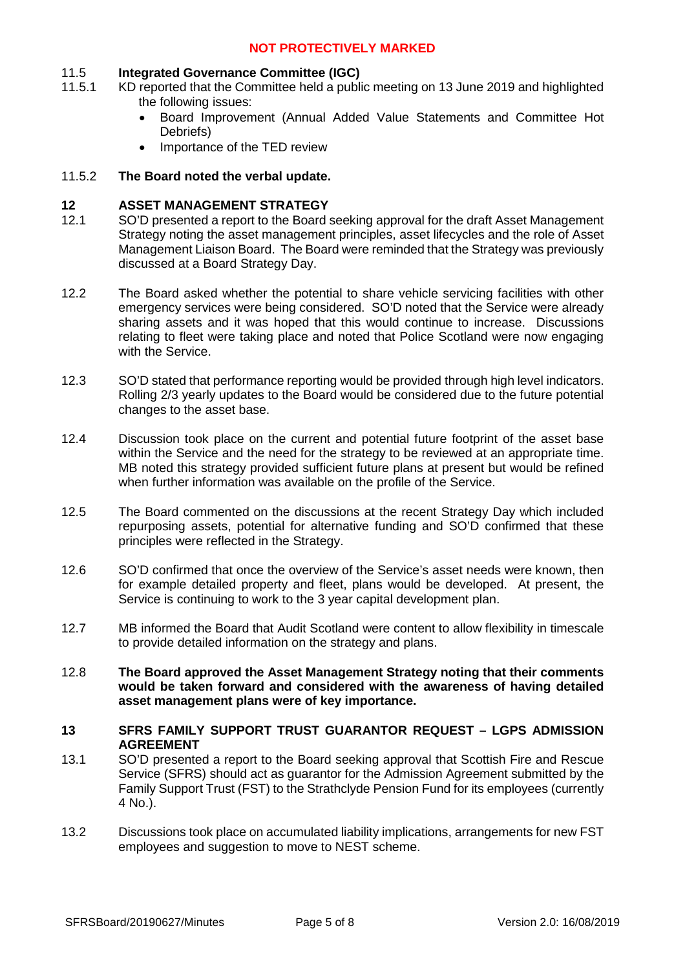#### 11.5 **Integrated Governance Committee (IGC)**

- 11.5.1 KD reported that the Committee held a public meeting on 13 June 2019 and highlighted the following issues:
	- Board Improvement (Annual Added Value Statements and Committee Hot Debriefs)
	- Importance of the TED review

#### 11.5.2 **The Board noted the verbal update.**

### **12 ASSET MANAGEMENT STRATEGY**

- 12.1 SO'D presented a report to the Board seeking approval for the draft Asset Management Strategy noting the asset management principles, asset lifecycles and the role of Asset Management Liaison Board. The Board were reminded that the Strategy was previously discussed at a Board Strategy Day.
- 12.2 The Board asked whether the potential to share vehicle servicing facilities with other emergency services were being considered. SO'D noted that the Service were already sharing assets and it was hoped that this would continue to increase. Discussions relating to fleet were taking place and noted that Police Scotland were now engaging with the Service.
- 12.3 SO'D stated that performance reporting would be provided through high level indicators. Rolling 2/3 yearly updates to the Board would be considered due to the future potential changes to the asset base.
- 12.4 Discussion took place on the current and potential future footprint of the asset base within the Service and the need for the strategy to be reviewed at an appropriate time. MB noted this strategy provided sufficient future plans at present but would be refined when further information was available on the profile of the Service.
- 12.5 The Board commented on the discussions at the recent Strategy Day which included repurposing assets, potential for alternative funding and SO'D confirmed that these principles were reflected in the Strategy.
- 12.6 SO'D confirmed that once the overview of the Service's asset needs were known, then for example detailed property and fleet, plans would be developed. At present, the Service is continuing to work to the 3 year capital development plan.
- 12.7 MB informed the Board that Audit Scotland were content to allow flexibility in timescale to provide detailed information on the strategy and plans.
- 12.8 **The Board approved the Asset Management Strategy noting that their comments would be taken forward and considered with the awareness of having detailed asset management plans were of key importance.**
- **13 SFRS FAMILY SUPPORT TRUST GUARANTOR REQUEST LGPS ADMISSION AGREEMENT**
- 13.1 SO'D presented a report to the Board seeking approval that Scottish Fire and Rescue Service (SFRS) should act as guarantor for the Admission Agreement submitted by the Family Support Trust (FST) to the Strathclyde Pension Fund for its employees (currently 4 No.).
- 13.2 Discussions took place on accumulated liability implications, arrangements for new FST employees and suggestion to move to NEST scheme.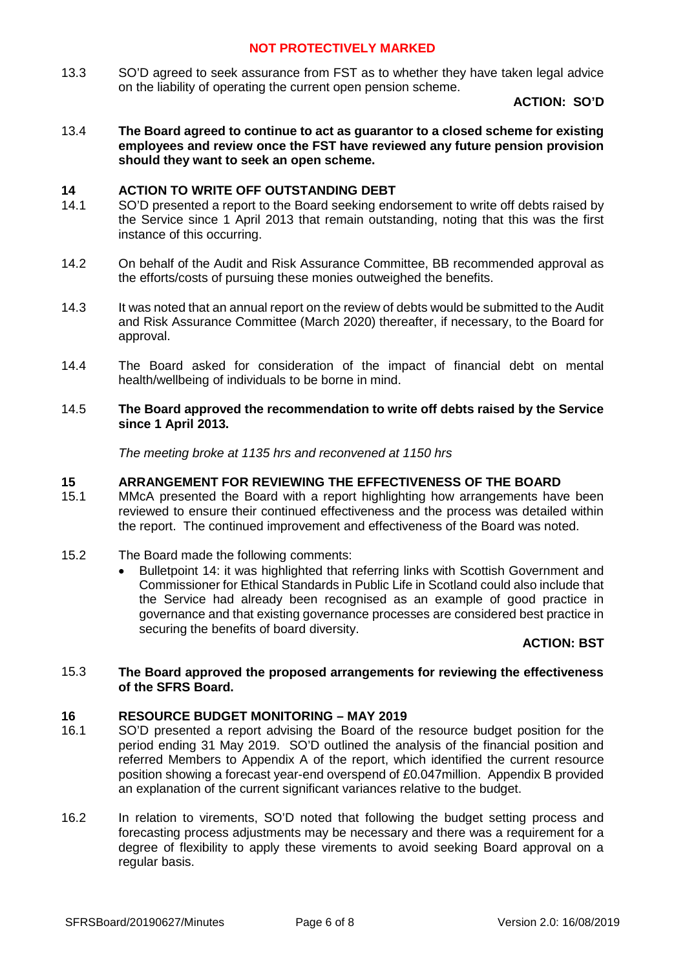13.3 SO'D agreed to seek assurance from FST as to whether they have taken legal advice on the liability of operating the current open pension scheme.

**ACTION: SO'D**

13.4 **The Board agreed to continue to act as guarantor to a closed scheme for existing employees and review once the FST have reviewed any future pension provision should they want to seek an open scheme.**

### **14 ACTION TO WRITE OFF OUTSTANDING DEBT**

- 14.1 SO'D presented a report to the Board seeking endorsement to write off debts raised by the Service since 1 April 2013 that remain outstanding, noting that this was the first instance of this occurring.
- 14.2 On behalf of the Audit and Risk Assurance Committee, BB recommended approval as the efforts/costs of pursuing these monies outweighed the benefits.
- 14.3 It was noted that an annual report on the review of debts would be submitted to the Audit and Risk Assurance Committee (March 2020) thereafter, if necessary, to the Board for approval.
- 14.4 The Board asked for consideration of the impact of financial debt on mental health/wellbeing of individuals to be borne in mind.

#### 14.5 **The Board approved the recommendation to write off debts raised by the Service since 1 April 2013.**

*The meeting broke at 1135 hrs and reconvened at 1150 hrs*

## **15 ARRANGEMENT FOR REVIEWING THE EFFECTIVENESS OF THE BOARD**

- 15.1 MMcA presented the Board with a report highlighting how arrangements have been reviewed to ensure their continued effectiveness and the process was detailed within the report. The continued improvement and effectiveness of the Board was noted.
- 15.2 The Board made the following comments:
	- Bulletpoint 14: it was highlighted that referring links with Scottish Government and Commissioner for Ethical Standards in Public Life in Scotland could also include that the Service had already been recognised as an example of good practice in governance and that existing governance processes are considered best practice in securing the benefits of board diversity.

### **ACTION: BST**

#### 15.3 **The Board approved the proposed arrangements for reviewing the effectiveness of the SFRS Board.**

# **16 RESOURCE BUDGET MONITORING – MAY 2019**

- 16.1 SO'D presented a report advising the Board of the resource budget position for the period ending 31 May 2019. SO'D outlined the analysis of the financial position and referred Members to Appendix A of the report, which identified the current resource position showing a forecast year-end overspend of £0.047million. Appendix B provided an explanation of the current significant variances relative to the budget.
- 16.2 In relation to virements, SO'D noted that following the budget setting process and forecasting process adjustments may be necessary and there was a requirement for a degree of flexibility to apply these virements to avoid seeking Board approval on a regular basis.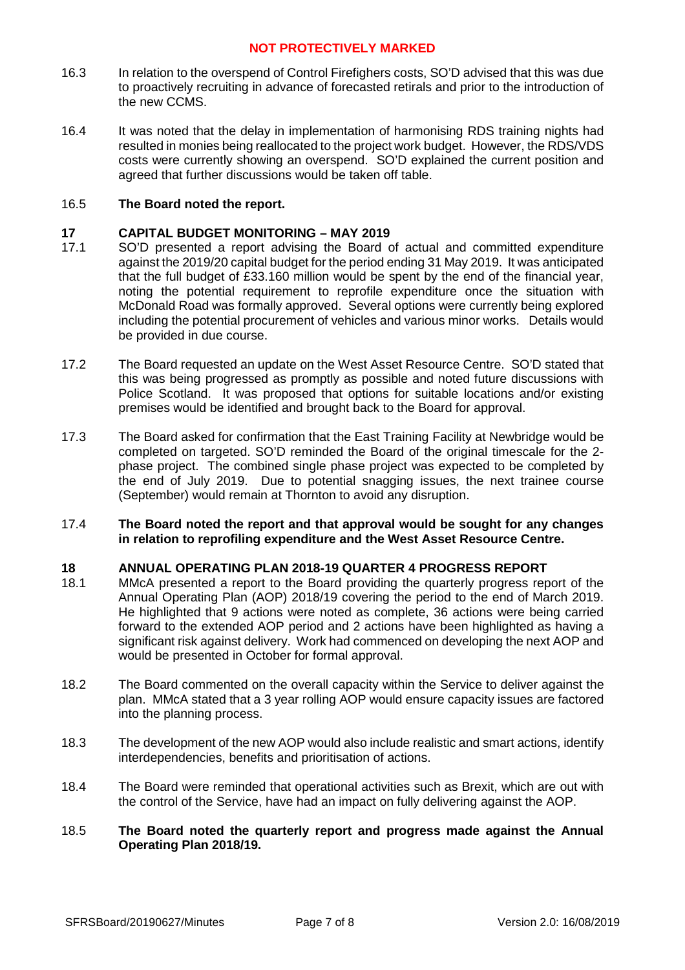- 16.3 In relation to the overspend of Control Firefighers costs, SO'D advised that this was due to proactively recruiting in advance of forecasted retirals and prior to the introduction of the new CCMS.
- 16.4 It was noted that the delay in implementation of harmonising RDS training nights had resulted in monies being reallocated to the project work budget. However, the RDS/VDS costs were currently showing an overspend. SO'D explained the current position and agreed that further discussions would be taken off table.

#### 16.5 **The Board noted the report.**

## **17 CAPITAL BUDGET MONITORING – MAY 2019**

- 17.1 SO'D presented a report advising the Board of actual and committed expenditure against the 2019/20 capital budget for the period ending 31 May 2019. It was anticipated that the full budget of £33.160 million would be spent by the end of the financial year, noting the potential requirement to reprofile expenditure once the situation with McDonald Road was formally approved. Several options were currently being explored including the potential procurement of vehicles and various minor works. Details would be provided in due course.
- 17.2 The Board requested an update on the West Asset Resource Centre. SO'D stated that this was being progressed as promptly as possible and noted future discussions with Police Scotland. It was proposed that options for suitable locations and/or existing premises would be identified and brought back to the Board for approval.
- 17.3 The Board asked for confirmation that the East Training Facility at Newbridge would be completed on targeted. SO'D reminded the Board of the original timescale for the 2 phase project. The combined single phase project was expected to be completed by the end of July 2019. Due to potential snagging issues, the next trainee course (September) would remain at Thornton to avoid any disruption.

#### 17.4 **The Board noted the report and that approval would be sought for any changes in relation to reprofiling expenditure and the West Asset Resource Centre.**

# **18 ANNUAL OPERATING PLAN 2018-19 QUARTER 4 PROGRESS REPORT**

- 18.1 MMcA presented a report to the Board providing the quarterly progress report of the Annual Operating Plan (AOP) 2018/19 covering the period to the end of March 2019. He highlighted that 9 actions were noted as complete, 36 actions were being carried forward to the extended AOP period and 2 actions have been highlighted as having a significant risk against delivery. Work had commenced on developing the next AOP and would be presented in October for formal approval.
- 18.2 The Board commented on the overall capacity within the Service to deliver against the plan. MMcA stated that a 3 year rolling AOP would ensure capacity issues are factored into the planning process.
- 18.3 The development of the new AOP would also include realistic and smart actions, identify interdependencies, benefits and prioritisation of actions.
- 18.4 The Board were reminded that operational activities such as Brexit, which are out with the control of the Service, have had an impact on fully delivering against the AOP.

#### 18.5 **The Board noted the quarterly report and progress made against the Annual Operating Plan 2018/19.**